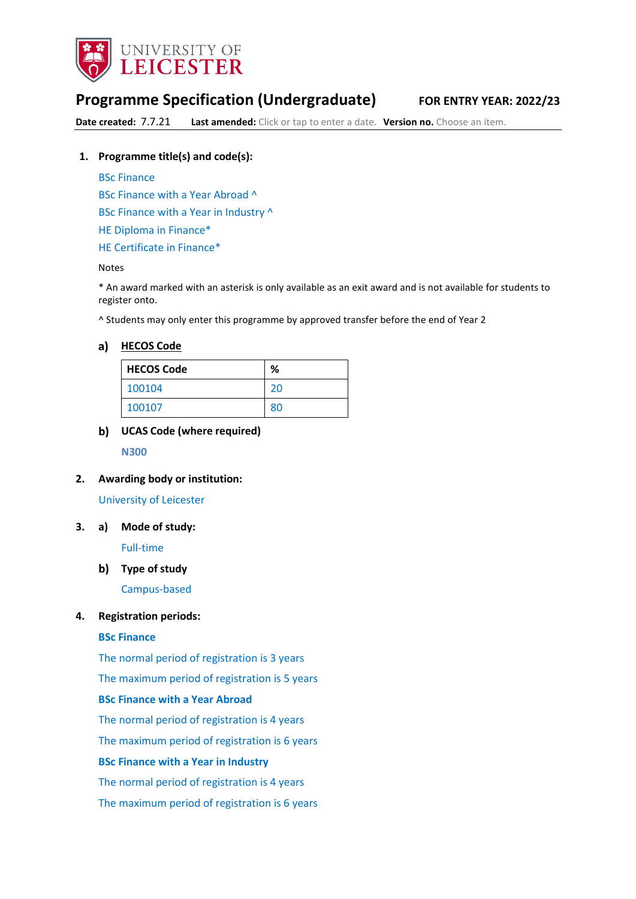

# **Programme Specification (Undergraduate) FOR ENTRY YEAR: 2022/23**

**Date created:** 7.7.21 **Last amended:** Click or tap to enter a date. **Version no.** Choose an item.

#### **1. Programme title(s) and code(s):**

BSc Finance

BSc Finance with a Year Abroad ^

BSc Finance with a Year in Industry ^

HE Diploma in Finance\*

HE Certificate in Finance\*

#### Notes

\* An award marked with an asterisk is only available as an exit award and is not available for students to register onto.

^ Students may only enter this programme by approved transfer before the end of Year 2

#### **[HECOS Code](https://www.hesa.ac.uk/innovation/hecos)**

| <b>HECOS Code</b> | %  |
|-------------------|----|
| 100104            | 20 |
| 100107            | 80 |

## **UCAS Code (where required)**

**N300**

#### **2. Awarding body or institution:**

#### University of Leicester

**3. a) Mode of study:** 

Full-time

### **Type of study**

Campus-based

#### **4. Registration periods:**

#### **BSc Finance**

The normal period of registration is 3 years

The maximum period of registration is 5 years

## **BSc Finance with a Year Abroad**

The normal period of registration is 4 years

The maximum period of registration is 6 years

#### **BSc Finance with a Year in Industry**

The normal period of registration is 4 years

The maximum period of registration is 6 years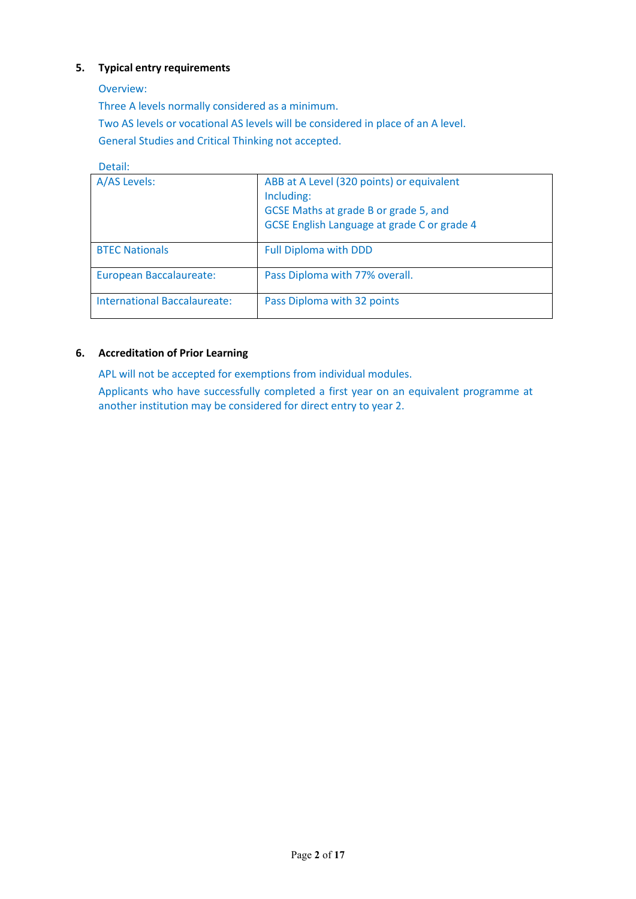## **5. Typical entry requirements**

Overview:

Three A levels normally considered as a minimum.

Two AS levels or vocational AS levels will be considered in place of an A level.

General Studies and Critical Thinking not accepted.

## Detail:

| A/AS Levels:                        | ABB at A Level (320 points) or equivalent<br>Including:<br>GCSE Maths at grade B or grade 5, and<br>GCSE English Language at grade C or grade 4 |
|-------------------------------------|-------------------------------------------------------------------------------------------------------------------------------------------------|
| <b>BTEC Nationals</b>               | <b>Full Diploma with DDD</b>                                                                                                                    |
| European Baccalaureate:             | Pass Diploma with 77% overall.                                                                                                                  |
| <b>International Baccalaureate:</b> | Pass Diploma with 32 points                                                                                                                     |

## **6. Accreditation of Prior Learning**

APL will not be accepted for exemptions from individual modules.

Applicants who have successfully completed a first year on an equivalent programme at another institution may be considered for direct entry to year 2.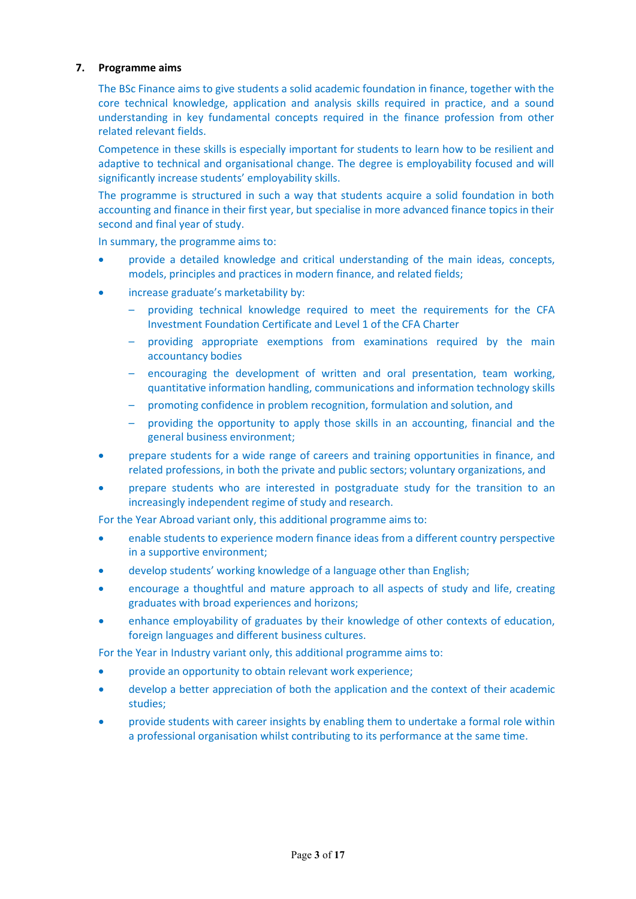### **7. Programme aims**

The BSc Finance aims to give students a solid academic foundation in finance, together with the core technical knowledge, application and analysis skills required in practice, and a sound understanding in key fundamental concepts required in the finance profession from other related relevant fields.

Competence in these skills is especially important for students to learn how to be resilient and adaptive to technical and organisational change. The degree is employability focused and will significantly increase students' employability skills.

The programme is structured in such a way that students acquire a solid foundation in both accounting and finance in their first year, but specialise in more advanced finance topics in their second and final year of study.

In summary, the programme aims to:

- provide a detailed knowledge and critical understanding of the main ideas, concepts, models, principles and practices in modern finance, and related fields;
- increase graduate's marketability by:
	- providing technical knowledge required to meet the requirements for the CFA Investment Foundation Certificate and Level 1 of the CFA Charter
	- providing appropriate exemptions from examinations required by the main accountancy bodies
	- encouraging the development of written and oral presentation, team working, quantitative information handling, communications and information technology skills
	- promoting confidence in problem recognition, formulation and solution, and
	- providing the opportunity to apply those skills in an accounting, financial and the general business environment;
- prepare students for a wide range of careers and training opportunities in finance, and related professions, in both the private and public sectors; voluntary organizations, and
- prepare students who are interested in postgraduate study for the transition to an increasingly independent regime of study and research.

For the Year Abroad variant only, this additional programme aims to:

- enable students to experience modern finance ideas from a different country perspective in a supportive environment;
- develop students' working knowledge of a language other than English;
- encourage a thoughtful and mature approach to all aspects of study and life, creating graduates with broad experiences and horizons;
- enhance employability of graduates by their knowledge of other contexts of education, foreign languages and different business cultures.

For the Year in Industry variant only, this additional programme aims to:

- provide an opportunity to obtain relevant work experience;
- develop a better appreciation of both the application and the context of their academic studies;
- provide students with career insights by enabling them to undertake a formal role within a professional organisation whilst contributing to its performance at the same time.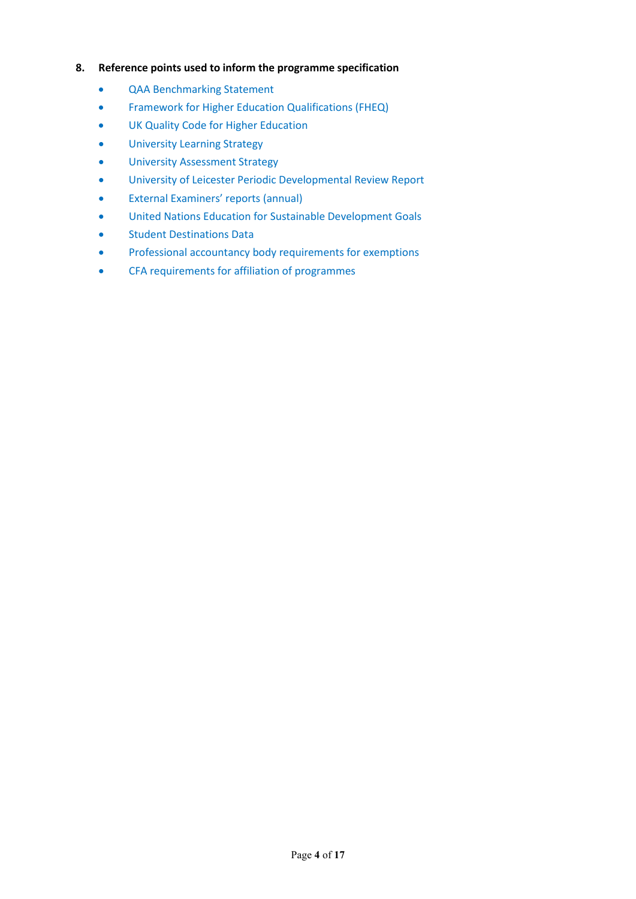## **8. Reference points used to inform the programme specification**

- QAA Benchmarking Statement
- Framework for Higher Education Qualifications (FHEQ)
- UK Quality Code for Higher Education
- University Learning Strategy
- University Assessment Strategy
- University of Leicester Periodic Developmental Review Report
- External Examiners' reports (annual)
- United Nations Education for Sustainable Development Goals
- Student Destinations Data
- Professional accountancy body requirements for exemptions
- CFA requirements for affiliation of programmes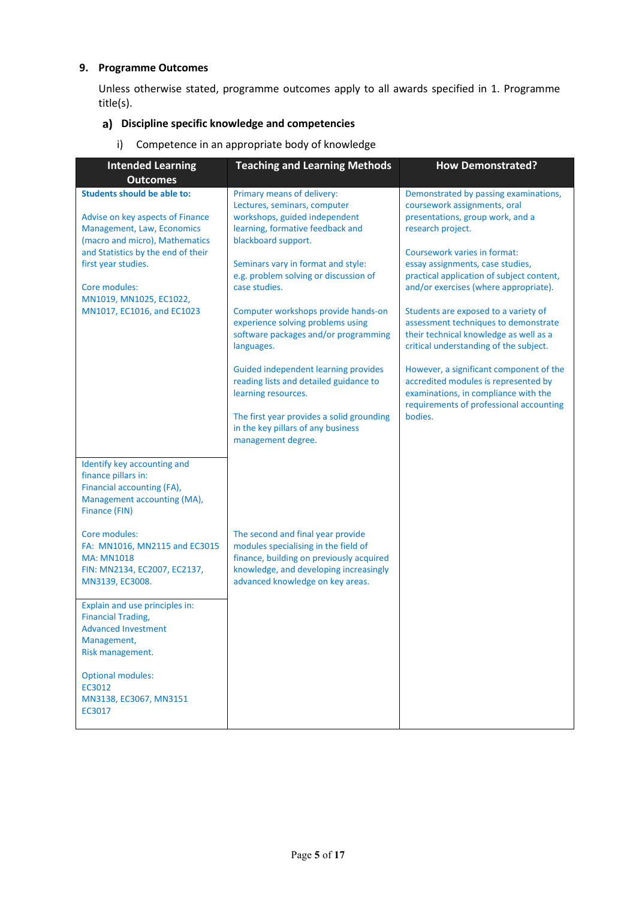## **9. Programme Outcomes**

Unless otherwise stated, programme outcomes apply to all awards specified in 1. Programme title(s).

## **Discipline specific knowledge and competencies**

i) Competence in an appropriate body of knowledge

| <b>Intended Learning</b>                                                                                                                                                                                                                                                                         | <b>Teaching and Learning Methods</b>                                                                                                                                                                                                                                                                                                                                                                                                                                                                                                                                                                              | <b>How Demonstrated?</b>                                                                                                                                                                                                                                                                                                                                                                                                                                                                                                                                                                                                                      |
|--------------------------------------------------------------------------------------------------------------------------------------------------------------------------------------------------------------------------------------------------------------------------------------------------|-------------------------------------------------------------------------------------------------------------------------------------------------------------------------------------------------------------------------------------------------------------------------------------------------------------------------------------------------------------------------------------------------------------------------------------------------------------------------------------------------------------------------------------------------------------------------------------------------------------------|-----------------------------------------------------------------------------------------------------------------------------------------------------------------------------------------------------------------------------------------------------------------------------------------------------------------------------------------------------------------------------------------------------------------------------------------------------------------------------------------------------------------------------------------------------------------------------------------------------------------------------------------------|
| <b>Outcomes</b><br><b>Students should be able to:</b><br>Advise on key aspects of Finance<br>Management, Law, Economics<br>(macro and micro), Mathematics<br>and Statistics by the end of their<br>first year studies.<br>Core modules:<br>MN1019, MN1025, EC1022,<br>MN1017, EC1016, and EC1023 | Primary means of delivery:<br>Lectures, seminars, computer<br>workshops, guided independent<br>learning, formative feedback and<br>blackboard support.<br>Seminars vary in format and style:<br>e.g. problem solving or discussion of<br>case studies.<br>Computer workshops provide hands-on<br>experience solving problems using<br>software packages and/or programming<br>languages.<br><b>Guided independent learning provides</b><br>reading lists and detailed guidance to<br>learning resources.<br>The first year provides a solid grounding<br>in the key pillars of any business<br>management degree. | Demonstrated by passing examinations,<br>coursework assignments, oral<br>presentations, group work, and a<br>research project.<br>Coursework varies in format:<br>essay assignments, case studies,<br>practical application of subject content,<br>and/or exercises (where appropriate).<br>Students are exposed to a variety of<br>assessment techniques to demonstrate<br>their technical knowledge as well as a<br>critical understanding of the subject.<br>However, a significant component of the<br>accredited modules is represented by<br>examinations, in compliance with the<br>requirements of professional accounting<br>bodies. |
| Identify key accounting and<br>finance pillars in:<br>Financial accounting (FA),<br>Management accounting (MA),<br>Finance (FIN)<br>Core modules:<br>FA: MN1016, MN2115 and EC3015<br><b>MA: MN1018</b><br>FIN: MN2134, EC2007, EC2137,<br>MN3139, EC3008.                                       | The second and final year provide<br>modules specialising in the field of<br>finance, building on previously acquired<br>knowledge, and developing increasingly<br>advanced knowledge on key areas.                                                                                                                                                                                                                                                                                                                                                                                                               |                                                                                                                                                                                                                                                                                                                                                                                                                                                                                                                                                                                                                                               |
| Explain and use principles in:<br><b>Financial Trading,</b><br><b>Advanced Investment</b><br>Management,<br>Risk management.<br><b>Optional modules:</b><br>EC3012<br>MN3138, EC3067, MN3151<br>EC3017                                                                                           |                                                                                                                                                                                                                                                                                                                                                                                                                                                                                                                                                                                                                   |                                                                                                                                                                                                                                                                                                                                                                                                                                                                                                                                                                                                                                               |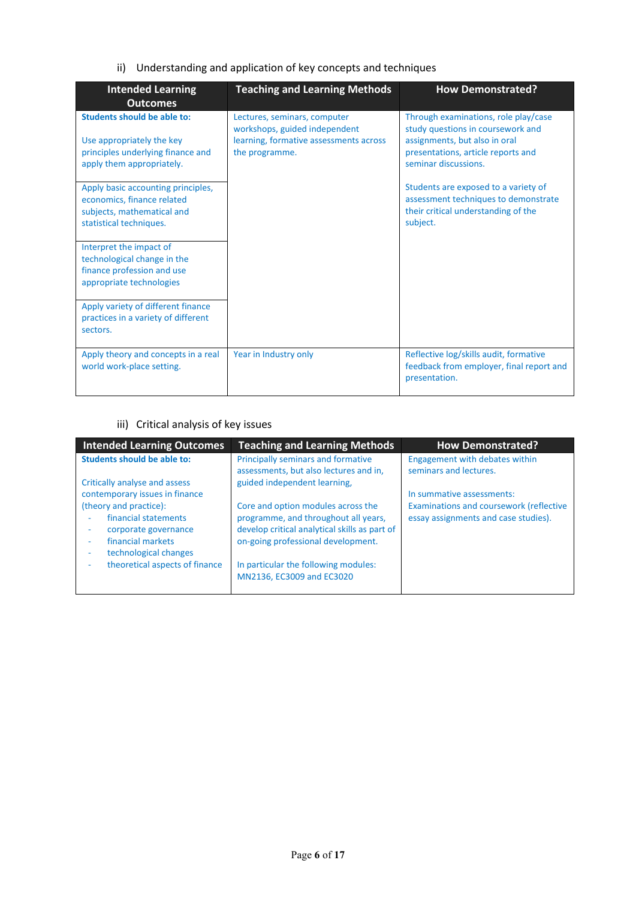## ii) Understanding and application of key concepts and techniques

| <b>Intended Learning</b><br><b>Outcomes</b>                                                                                       | <b>Teaching and Learning Methods</b>                                                                                      | <b>How Demonstrated?</b>                                                                                                                                                 |
|-----------------------------------------------------------------------------------------------------------------------------------|---------------------------------------------------------------------------------------------------------------------------|--------------------------------------------------------------------------------------------------------------------------------------------------------------------------|
| <b>Students should be able to:</b><br>Use appropriately the key<br>principles underlying finance and<br>apply them appropriately. | Lectures, seminars, computer<br>workshops, guided independent<br>learning, formative assessments across<br>the programme. | Through examinations, role play/case<br>study questions in coursework and<br>assignments, but also in oral<br>presentations, article reports and<br>seminar discussions. |
| Apply basic accounting principles,<br>economics, finance related<br>subjects, mathematical and<br>statistical techniques.         |                                                                                                                           | Students are exposed to a variety of<br>assessment techniques to demonstrate<br>their critical understanding of the<br>subject.                                          |
| Interpret the impact of<br>technological change in the<br>finance profession and use<br>appropriate technologies                  |                                                                                                                           |                                                                                                                                                                          |
| Apply variety of different finance<br>practices in a variety of different<br>sectors.                                             |                                                                                                                           |                                                                                                                                                                          |
| Apply theory and concepts in a real<br>world work-place setting.                                                                  | Year in Industry only                                                                                                     | Reflective log/skills audit, formative<br>feedback from employer, final report and<br>presentation.                                                                      |

## iii) Critical analysis of key issues

| <b>Intended Learning Outcomes</b>                               | <b>Teaching and Learning Methods</b>                                   | <b>How Demonstrated?</b>                       |
|-----------------------------------------------------------------|------------------------------------------------------------------------|------------------------------------------------|
| <b>Students should be able to:</b>                              | Principally seminars and formative                                     | Engagement with debates within                 |
|                                                                 | assessments, but also lectures and in,<br>guided independent learning, | seminars and lectures.                         |
| Critically analyse and assess<br>contemporary issues in finance |                                                                        | In summative assessments:                      |
| (theory and practice):                                          | Core and option modules across the                                     | <b>Examinations and coursework (reflective</b> |
| financial statements                                            | programme, and throughout all years,                                   | essay assignments and case studies).           |
| corporate governance                                            | develop critical analytical skills as part of                          |                                                |
| financial markets                                               | on-going professional development.                                     |                                                |
| technological changes<br>٠                                      |                                                                        |                                                |
| theoretical aspects of finance                                  | In particular the following modules:                                   |                                                |
|                                                                 | MN2136, EC3009 and EC3020                                              |                                                |
|                                                                 |                                                                        |                                                |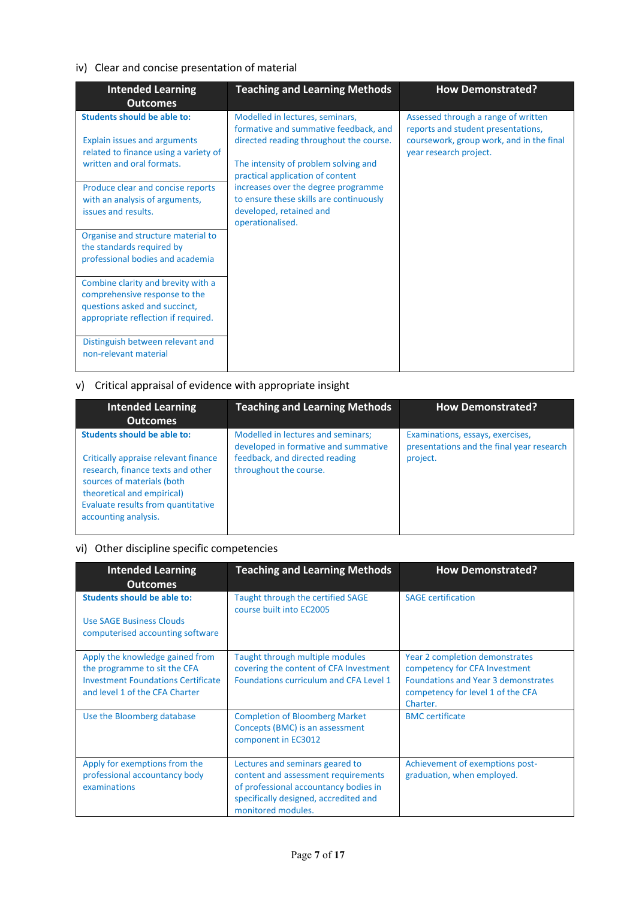## iv) Clear and concise presentation of material

| <b>Intended Learning</b><br><b>Outcomes</b>                                                                                                     | <b>Teaching and Learning Methods</b>                                                                                                                              | <b>How Demonstrated?</b>                                                                                                                        |
|-------------------------------------------------------------------------------------------------------------------------------------------------|-------------------------------------------------------------------------------------------------------------------------------------------------------------------|-------------------------------------------------------------------------------------------------------------------------------------------------|
| <b>Students should be able to:</b><br><b>Explain issues and arguments</b><br>related to finance using a variety of<br>written and oral formats. | Modelled in lectures, seminars,<br>formative and summative feedback, and<br>directed reading throughout the course.<br>The intensity of problem solving and       | Assessed through a range of written<br>reports and student presentations,<br>coursework, group work, and in the final<br>year research project. |
| Produce clear and concise reports<br>with an analysis of arguments,<br>issues and results.                                                      | practical application of content<br>increases over the degree programme<br>to ensure these skills are continuously<br>developed, retained and<br>operationalised. |                                                                                                                                                 |
| Organise and structure material to<br>the standards required by<br>professional bodies and academia                                             |                                                                                                                                                                   |                                                                                                                                                 |
| Combine clarity and brevity with a<br>comprehensive response to the<br>questions asked and succinct,<br>appropriate reflection if required.     |                                                                                                                                                                   |                                                                                                                                                 |
| Distinguish between relevant and<br>non-relevant material                                                                                       |                                                                                                                                                                   |                                                                                                                                                 |

## v) Critical appraisal of evidence with appropriate insight

| <b>Intended Learning</b><br><b>Outcomes</b>                                                                                                                                                                                               | <b>Teaching and Learning Methods</b>                                                                                                   | <b>How Demonstrated?</b>                                                                  |
|-------------------------------------------------------------------------------------------------------------------------------------------------------------------------------------------------------------------------------------------|----------------------------------------------------------------------------------------------------------------------------------------|-------------------------------------------------------------------------------------------|
| <b>Students should be able to:</b><br>Critically appraise relevant finance<br>research, finance texts and other<br>sources of materials (both<br>theoretical and empirical)<br>Evaluate results from quantitative<br>accounting analysis. | Modelled in lectures and seminars;<br>developed in formative and summative<br>feedback, and directed reading<br>throughout the course. | Examinations, essays, exercises,<br>presentations and the final year research<br>project. |

## vi) Other discipline specific competencies

| <b>Intended Learning</b><br><b>Outcomes</b>                                                                                                    | <b>Teaching and Learning Methods</b>                                                                                                                                           | <b>How Demonstrated?</b>                                                                                                                                       |
|------------------------------------------------------------------------------------------------------------------------------------------------|--------------------------------------------------------------------------------------------------------------------------------------------------------------------------------|----------------------------------------------------------------------------------------------------------------------------------------------------------------|
| Students should be able to:<br>Use SAGE Business Clouds<br>computerised accounting software                                                    | Taught through the certified SAGE<br>course built into EC2005                                                                                                                  | <b>SAGE certification</b>                                                                                                                                      |
| Apply the knowledge gained from<br>the programme to sit the CFA<br><b>Investment Foundations Certificate</b><br>and level 1 of the CFA Charter | Taught through multiple modules<br>covering the content of CFA Investment<br>Foundations curriculum and CFA Level 1                                                            | Year 2 completion demonstrates<br>competency for CFA Investment<br><b>Foundations and Year 3 demonstrates</b><br>competency for level 1 of the CFA<br>Charter. |
| Use the Bloomberg database                                                                                                                     | <b>Completion of Bloomberg Market</b><br>Concepts (BMC) is an assessment<br>component in EC3012                                                                                | <b>BMC</b> certificate                                                                                                                                         |
| Apply for exemptions from the<br>professional accountancy body<br>examinations                                                                 | Lectures and seminars geared to<br>content and assessment requirements<br>of professional accountancy bodies in<br>specifically designed, accredited and<br>monitored modules. | Achievement of exemptions post-<br>graduation, when employed.                                                                                                  |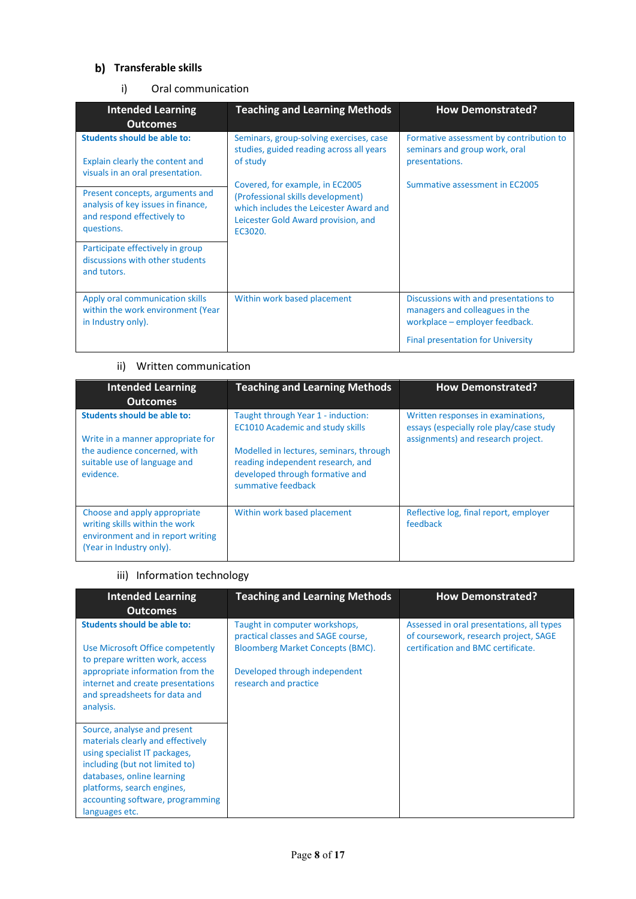## **b)** Transferable skills

## i) Oral communication

| <b>Intended Learning</b><br><b>Outcomes</b>                                                                       | <b>Teaching and Learning Methods</b>                                                                                                                             | <b>How Demonstrated?</b>                                                                                                                              |
|-------------------------------------------------------------------------------------------------------------------|------------------------------------------------------------------------------------------------------------------------------------------------------------------|-------------------------------------------------------------------------------------------------------------------------------------------------------|
| <b>Students should be able to:</b><br>Explain clearly the content and<br>visuals in an oral presentation.         | Seminars, group-solving exercises, case<br>studies, guided reading across all years<br>of study                                                                  | Formative assessment by contribution to<br>seminars and group work, oral<br>presentations.                                                            |
| Present concepts, arguments and<br>analysis of key issues in finance,<br>and respond effectively to<br>questions. | Covered, for example, in EC2005<br>(Professional skills development)<br>which includes the Leicester Award and<br>Leicester Gold Award provision, and<br>EC3020. | Summative assessment in EC2005                                                                                                                        |
| Participate effectively in group<br>discussions with other students<br>and tutors.                                |                                                                                                                                                                  |                                                                                                                                                       |
| Apply oral communication skills<br>within the work environment (Year<br>in Industry only).                        | Within work based placement                                                                                                                                      | Discussions with and presentations to<br>managers and colleagues in the<br>workplace – employer feedback.<br><b>Final presentation for University</b> |

## ii) Written communication

| <b>Intended Learning</b><br><b>Outcomes</b>                                                                                                   | <b>Teaching and Learning Methods</b>                                                                                                                                                                                   | <b>How Demonstrated?</b>                                                                                            |
|-----------------------------------------------------------------------------------------------------------------------------------------------|------------------------------------------------------------------------------------------------------------------------------------------------------------------------------------------------------------------------|---------------------------------------------------------------------------------------------------------------------|
| Students should be able to:<br>Write in a manner appropriate for<br>the audience concerned, with<br>suitable use of language and<br>evidence. | Taught through Year 1 - induction:<br><b>EC1010 Academic and study skills</b><br>Modelled in lectures, seminars, through<br>reading independent research, and<br>developed through formative and<br>summative feedback | Written responses in examinations,<br>essays (especially role play/case study<br>assignments) and research project. |
| Choose and apply appropriate<br>writing skills within the work<br>environment and in report writing<br>(Year in Industry only).               | Within work based placement                                                                                                                                                                                            | Reflective log, final report, employer<br>feedback                                                                  |

## iii) Information technology

| <b>Intended Learning</b><br><b>Outcomes</b>                                                                                                                                                                                                           | <b>Teaching and Learning Methods</b>                                                                                                                              | <b>How Demonstrated?</b>                                                                                                 |
|-------------------------------------------------------------------------------------------------------------------------------------------------------------------------------------------------------------------------------------------------------|-------------------------------------------------------------------------------------------------------------------------------------------------------------------|--------------------------------------------------------------------------------------------------------------------------|
| <b>Students should be able to:</b><br>Use Microsoft Office competently<br>to prepare written work, access<br>appropriate information from the<br>internet and create presentations<br>and spreadsheets for data and<br>analysis.                      | Taught in computer workshops,<br>practical classes and SAGE course,<br>Bloomberg Market Concepts (BMC).<br>Developed through independent<br>research and practice | Assessed in oral presentations, all types<br>of coursework, research project, SAGE<br>certification and BMC certificate. |
| Source, analyse and present<br>materials clearly and effectively<br>using specialist IT packages,<br>including (but not limited to)<br>databases, online learning<br>platforms, search engines,<br>accounting software, programming<br>languages etc. |                                                                                                                                                                   |                                                                                                                          |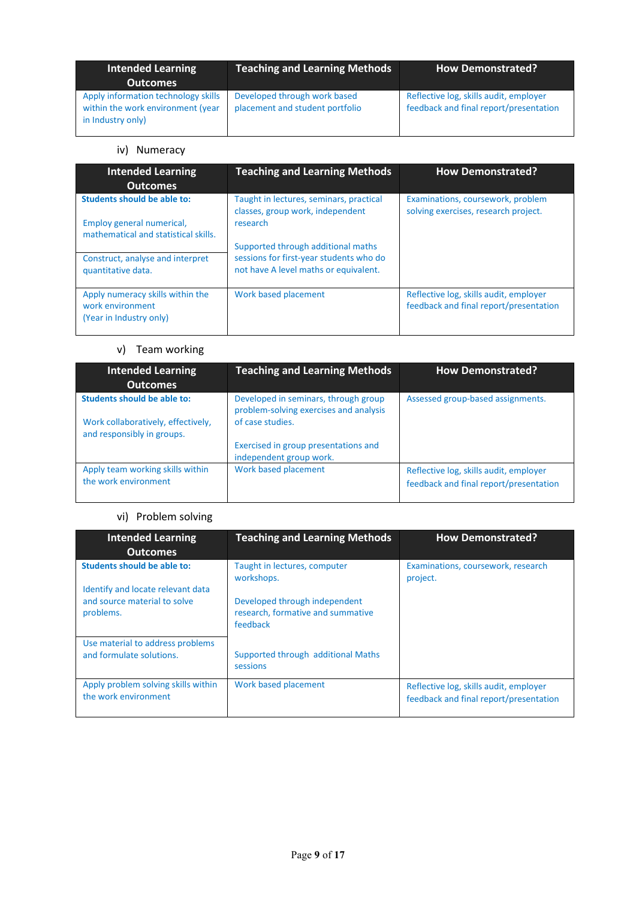| <b>Intended Learning</b><br><b>Outcomes</b>                                                   | <b>Teaching and Learning Methods</b>                            | <b>How Demonstrated?</b>                                                         |
|-----------------------------------------------------------------------------------------------|-----------------------------------------------------------------|----------------------------------------------------------------------------------|
| Apply information technology skills<br>within the work environment (year<br>in Industry only) | Developed through work based<br>placement and student portfolio | Reflective log, skills audit, employer<br>feedback and final report/presentation |

## iv) Numeracy

| <b>Intended Learning</b><br><b>Outcomes</b>                                     | <b>Teaching and Learning Methods</b>                                             | <b>How Demonstrated?</b>                                                         |
|---------------------------------------------------------------------------------|----------------------------------------------------------------------------------|----------------------------------------------------------------------------------|
| Students should be able to:                                                     | Taught in lectures, seminars, practical<br>classes, group work, independent      | Examinations, coursework, problem<br>solving exercises, research project.        |
| Employ general numerical,<br>mathematical and statistical skills.               | research                                                                         |                                                                                  |
|                                                                                 | Supported through additional maths                                               |                                                                                  |
| Construct, analyse and interpret<br>quantitative data.                          | sessions for first-year students who do<br>not have A level maths or equivalent. |                                                                                  |
| Apply numeracy skills within the<br>work environment<br>(Year in Industry only) | Work based placement                                                             | Reflective log, skills audit, employer<br>feedback and final report/presentation |

## v) Team working

| <b>Intended Learning</b><br><b>Outcomes</b>                      | <b>Teaching and Learning Methods</b>                                           | <b>How Demonstrated?</b>                                                         |
|------------------------------------------------------------------|--------------------------------------------------------------------------------|----------------------------------------------------------------------------------|
| Students should be able to:                                      | Developed in seminars, through group<br>problem-solving exercises and analysis | Assessed group-based assignments.                                                |
| Work collaboratively, effectively,<br>and responsibly in groups. | of case studies.                                                               |                                                                                  |
|                                                                  | Exercised in group presentations and<br>independent group work.                |                                                                                  |
| Apply team working skills within<br>the work environment         | Work based placement                                                           | Reflective log, skills audit, employer<br>feedback and final report/presentation |

## vi) Problem solving

| <b>Intended Learning</b><br><b>Outcomes</b>                             | <b>Teaching and Learning Methods</b>                                           | <b>How Demonstrated?</b>                                                         |
|-------------------------------------------------------------------------|--------------------------------------------------------------------------------|----------------------------------------------------------------------------------|
| <b>Students should be able to:</b><br>Identify and locate relevant data | Taught in lectures, computer<br>workshops.                                     | Examinations, coursework, research<br>project.                                   |
| and source material to solve<br>problems.                               | Developed through independent<br>research, formative and summative<br>feedback |                                                                                  |
| Use material to address problems<br>and formulate solutions.            | Supported through additional Maths<br>sessions                                 |                                                                                  |
| Apply problem solving skills within<br>the work environment             | Work based placement                                                           | Reflective log, skills audit, employer<br>feedback and final report/presentation |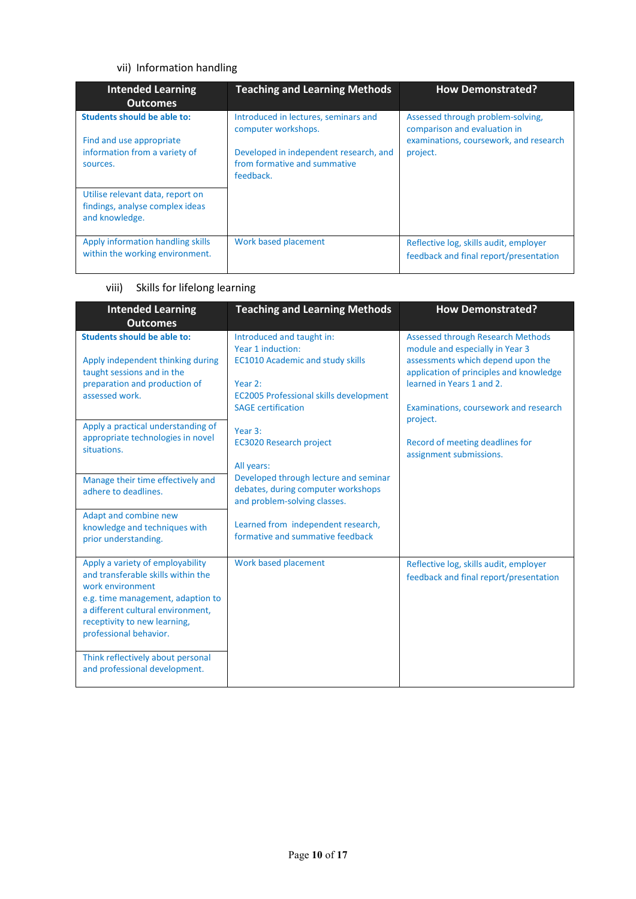## vii) Information handling

| <b>Intended Learning</b><br><b>Outcomes</b>                                                                 | <b>Teaching and Learning Methods</b>                                                                                                               | <b>How Demonstrated?</b>                                                                                                |
|-------------------------------------------------------------------------------------------------------------|----------------------------------------------------------------------------------------------------------------------------------------------------|-------------------------------------------------------------------------------------------------------------------------|
| <b>Students should be able to:</b><br>Find and use appropriate<br>information from a variety of<br>sources. | Introduced in lectures, seminars and<br>computer workshops.<br>Developed in independent research, and<br>from formative and summative<br>feedback. | Assessed through problem-solving,<br>comparison and evaluation in<br>examinations, coursework, and research<br>project. |
| Utilise relevant data, report on<br>findings, analyse complex ideas<br>and knowledge.                       |                                                                                                                                                    |                                                                                                                         |
| Apply information handling skills<br>within the working environment.                                        | Work based placement                                                                                                                               | Reflective log, skills audit, employer<br>feedback and final report/presentation                                        |

## viii) Skills for lifelong learning

| <b>Intended Learning</b><br><b>Outcomes</b>                                                                                                                                                                                    | <b>Teaching and Learning Methods</b>                                                                                                                                               | <b>How Demonstrated?</b>                                                                                                                                                                                                          |
|--------------------------------------------------------------------------------------------------------------------------------------------------------------------------------------------------------------------------------|------------------------------------------------------------------------------------------------------------------------------------------------------------------------------------|-----------------------------------------------------------------------------------------------------------------------------------------------------------------------------------------------------------------------------------|
| <b>Students should be able to:</b><br>Apply independent thinking during<br>taught sessions and in the<br>preparation and production of<br>assessed work.                                                                       | Introduced and taught in:<br>Year 1 induction:<br><b>EC1010 Academic and study skills</b><br>Year 2:<br><b>EC2005 Professional skills development</b><br><b>SAGE certification</b> | <b>Assessed through Research Methods</b><br>module and especially in Year 3<br>assessments which depend upon the<br>application of principles and knowledge<br>learned in Years 1 and 2.<br>Examinations, coursework and research |
| Apply a practical understanding of<br>appropriate technologies in novel<br>situations.                                                                                                                                         | Year 3:<br><b>EC3020 Research project</b><br>All years:                                                                                                                            | project.<br>Record of meeting deadlines for<br>assignment submissions.                                                                                                                                                            |
| Manage their time effectively and<br>adhere to deadlines.                                                                                                                                                                      | Developed through lecture and seminar<br>debates, during computer workshops<br>and problem-solving classes.                                                                        |                                                                                                                                                                                                                                   |
| Adapt and combine new<br>knowledge and techniques with<br>prior understanding.                                                                                                                                                 | Learned from independent research,<br>formative and summative feedback                                                                                                             |                                                                                                                                                                                                                                   |
| Apply a variety of employability<br>and transferable skills within the<br>work environment<br>e.g. time management, adaption to<br>a different cultural environment,<br>receptivity to new learning,<br>professional behavior. | Work based placement                                                                                                                                                               | Reflective log, skills audit, employer<br>feedback and final report/presentation                                                                                                                                                  |
| Think reflectively about personal<br>and professional development.                                                                                                                                                             |                                                                                                                                                                                    |                                                                                                                                                                                                                                   |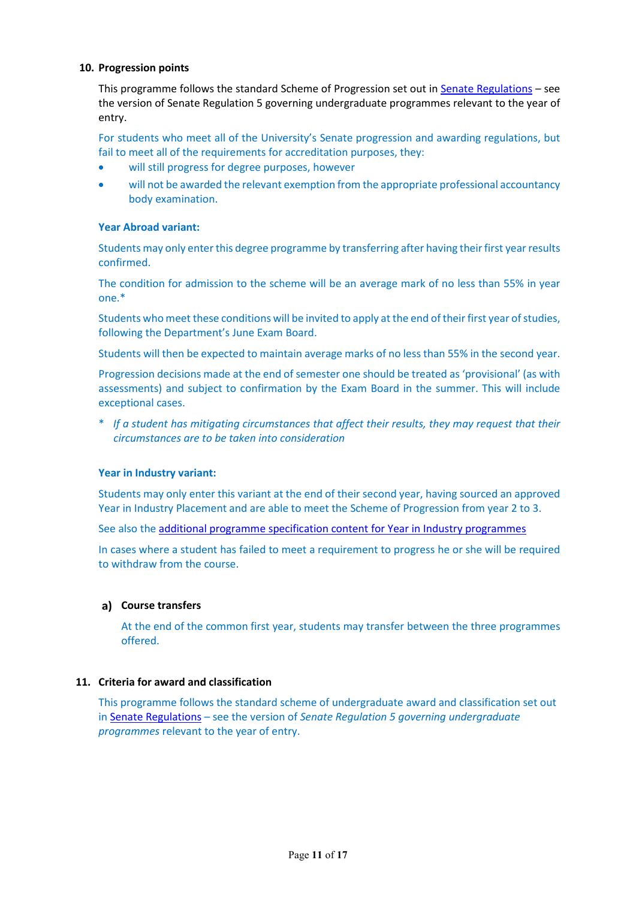#### **10. Progression points**

This programme follows the standard Scheme of Progression set out i[n Senate Regulations](http://www.le.ac.uk/senate-regulations) – see the version of Senate Regulation 5 governing undergraduate programmes relevant to the year of entry.

For students who meet all of the University's Senate progression and awarding regulations, but fail to meet all of the requirements for accreditation purposes, they:

- will still progress for degree purposes, however
- will not be awarded the relevant exemption from the appropriate professional accountancy body examination.

## **Year Abroad variant:**

Students may only enter this degree programme by transferring after having their first year results confirmed.

The condition for admission to the scheme will be an average mark of no less than 55% in year one.\*

Students who meet these conditions will be invited to apply at the end of their first year of studies, following the Department's June Exam Board.

Students will then be expected to maintain average marks of no less than 55% in the second year.

Progression decisions made at the end of semester one should be treated as 'provisional' (as with assessments) and subject to confirmation by the Exam Board in the summer. This will include exceptional cases.

\* *If a student has mitigating circumstances that affect their results, they may request that their circumstances are to be taken into consideration*

#### **Year in Industry variant:**

Students may only enter this variant at the end of their second year, having sourced an approved Year in Industry Placement and are able to meet the Scheme of Progression from year 2 to 3.

See also th[e additional programme specification content for Year in Industry programmes](https://www2.le.ac.uk/offices/sas2/courses/documentation/undergraduate-programme-specification-content-for-year-in-industry-programme-variants)

In cases where a student has failed to meet a requirement to progress he or she will be required to withdraw from the course.

#### **Course transfers**

At the end of the common first year, students may transfer between the three programmes offered.

### **11. Criteria for award and classification**

This programme follows the standard scheme of undergraduate award and classification set out in [Senate Regulations](http://www.le.ac.uk/senate-regulations) – see the version of *Senate Regulation 5 governing undergraduate programmes* relevant to the year of entry.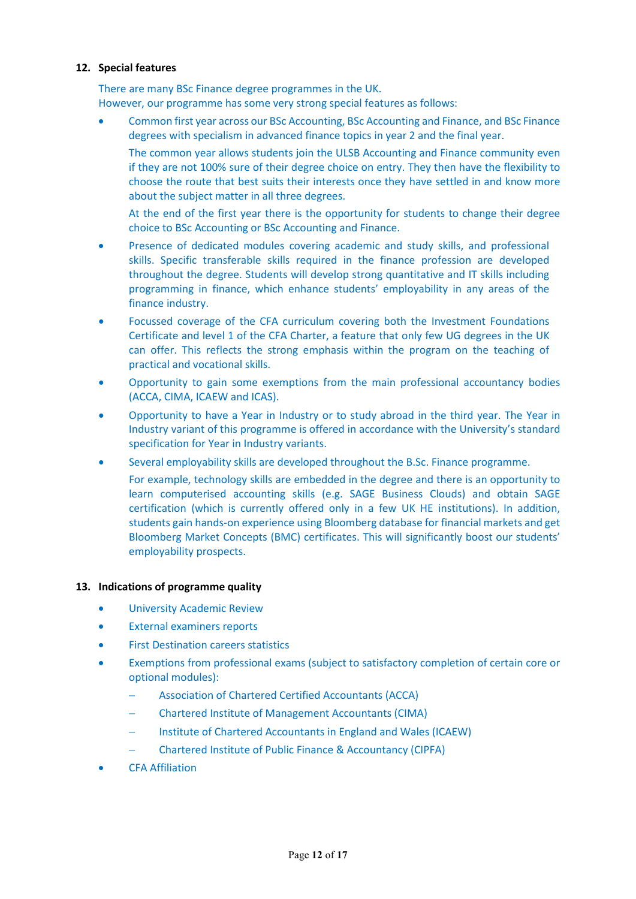#### **12. Special features**

There are many BSc Finance degree programmes in the UK. However, our programme has some very strong special features as follows:

• Common first year across our BSc Accounting, BSc Accounting and Finance, and BSc Finance degrees with specialism in advanced finance topics in year 2 and the final year.

The common year allows students join the ULSB Accounting and Finance community even if they are not 100% sure of their degree choice on entry. They then have the flexibility to choose the route that best suits their interests once they have settled in and know more about the subject matter in all three degrees.

At the end of the first year there is the opportunity for students to change their degree choice to BSc Accounting or BSc Accounting and Finance.

- Presence of dedicated modules covering academic and study skills, and professional skills. Specific transferable skills required in the finance profession are developed throughout the degree. Students will develop strong quantitative and IT skills including programming in finance, which enhance students' employability in any areas of the finance industry.
- Focussed coverage of the CFA curriculum covering both the Investment Foundations Certificate and level 1 of the CFA Charter, a feature that only few UG degrees in the UK can offer. This reflects the strong emphasis within the program on the teaching of practical and vocational skills.
- Opportunity to gain some exemptions from the main professional accountancy bodies (ACCA, CIMA, ICAEW and ICAS).
- Opportunity to have a Year in Industry or to study abroad in the third year. The Year in Industry variant of this programme is offered in accordance with the University's standard specification for Year in Industry variants.
- Several employability skills are developed throughout the B.Sc. Finance programme.
	- For example, technology skills are embedded in the degree and there is an opportunity to learn computerised accounting skills (e.g. SAGE Business Clouds) and obtain SAGE certification (which is currently offered only in a few UK HE institutions). In addition, students gain hands-on experience using Bloomberg database for financial markets and get Bloomberg Market Concepts (BMC) certificates. This will significantly boost our students' employability prospects.

#### **13. Indications of programme quality**

- University Academic Review
- External examiners reports
- **First Destination careers statistics**
- Exemptions from professional exams (subject to satisfactory completion of certain core or optional modules):
	- − Association of Chartered Certified Accountants (ACCA)
	- − Chartered Institute of Management Accountants (CIMA)
	- − Institute of Chartered Accountants in England and Wales (ICAEW)
	- − Chartered Institute of Public Finance & Accountancy (CIPFA)
- CFA Affiliation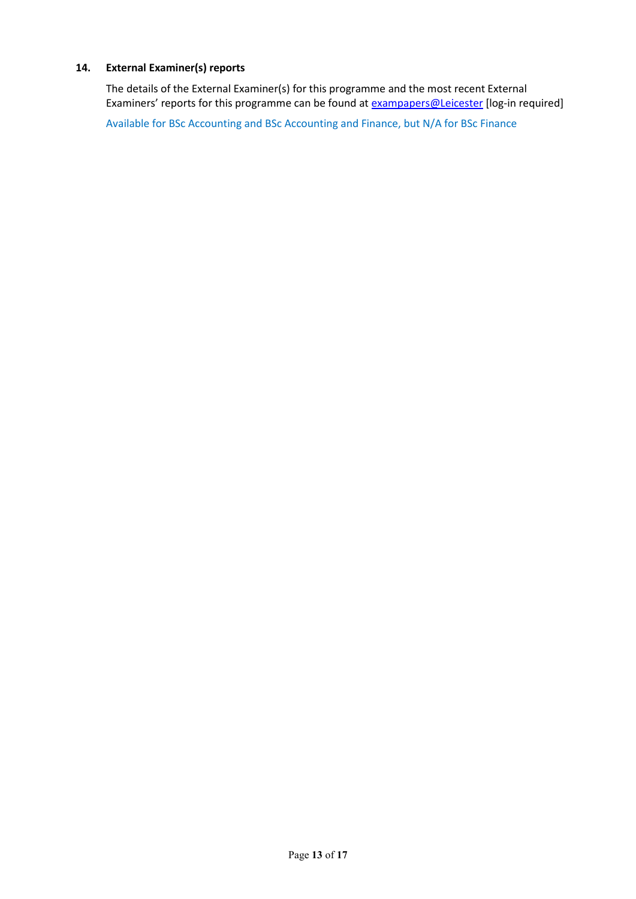## **14. External Examiner(s) reports**

The details of the External Examiner(s) for this programme and the most recent External Examiners' reports for this programme can be found at **[exampapers@Leicester](https://exampapers.le.ac.uk/)** [log-in required]

Available for BSc Accounting and BSc Accounting and Finance, but N/A for BSc Finance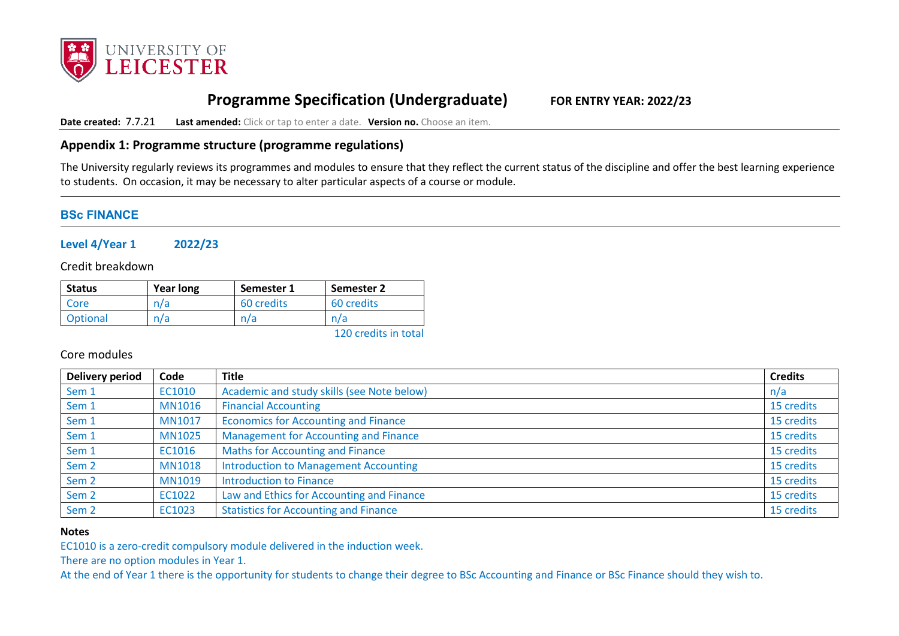

# **Programme Specification (Undergraduate) FOR ENTRY YEAR: 2022/23**

**Date created:** 7.7.21 **Last amended:** Click or tap to enter a date. **Version no.** Choose an item.

## **Appendix 1: Programme structure (programme regulations)**

The University regularly reviews its programmes and modules to ensure that they reflect the current status of the discipline and offer the best learning experience to students. On occasion, it may be necessary to alter particular aspects of a course or module.

## **BSc FINANCE**

**Level 4/Year 1 2022/23**

Credit breakdown

| <b>Status</b> | <b>Year long</b>   | Semester 1 | Semester 2 |
|---------------|--------------------|------------|------------|
| Core          | ำ/a $\overline{a}$ | 60 credits | 60 credits |
| Optional      | n/a                |            | n/a        |

120 credits in total

Core modules

| Delivery period  | Code          | <b>Title</b>                                 | <b>Credits</b> |
|------------------|---------------|----------------------------------------------|----------------|
| Sem 1            | EC1010        | Academic and study skills (see Note below)   | n/a            |
| Sem 1            | <b>MN1016</b> | <b>Financial Accounting</b>                  | 15 credits     |
| Sem 1            | <b>MN1017</b> | <b>Economics for Accounting and Finance</b>  | 15 credits     |
| Sem 1            | <b>MN1025</b> | Management for Accounting and Finance        | 15 credits     |
| Sem 1            | EC1016        | <b>Maths for Accounting and Finance</b>      | 15 credits     |
| Sem <sub>2</sub> | <b>MN1018</b> | <b>Introduction to Management Accounting</b> | 15 credits     |
| Sem <sub>2</sub> | <b>MN1019</b> | <b>Introduction to Finance</b>               | 15 credits     |
| Sem <sub>2</sub> | EC1022        | Law and Ethics for Accounting and Finance    | 15 credits     |
| Sem <sub>2</sub> | EC1023        | <b>Statistics for Accounting and Finance</b> | 15 credits     |

#### **Notes**

EC1010 is a zero-credit compulsory module delivered in the induction week.

There are no option modules in Year 1.

At the end of Year 1 there is the opportunity for students to change their degree to BSc Accounting and Finance or BSc Finance should they wish to.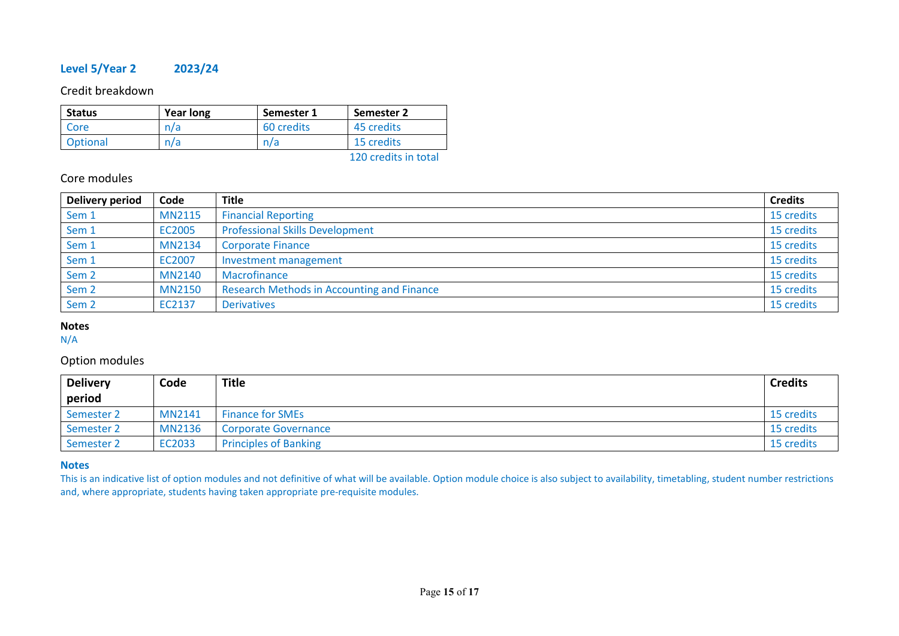## **Level 5/Year 2 2023/24**

Credit breakdown

| <b>Status</b> | Year long | Semester 1 | Semester 2           |
|---------------|-----------|------------|----------------------|
| Core          | n/a       | 60 credits | 45 credits           |
| Optional      | n/a       | n/a        | 15 credits           |
|               |           |            | 120 credits in total |

## Core modules

| <b>Delivery period</b> | Code          | <b>Title</b>                               | <b>Credits</b> |
|------------------------|---------------|--------------------------------------------|----------------|
| Sem 1                  | <b>MN2115</b> | <b>Financial Reporting</b>                 | 15 credits     |
| Sem 1                  | EC2005        | <b>Professional Skills Development</b>     | 15 credits     |
| Sem 1                  | <b>MN2134</b> | <b>Corporate Finance</b>                   | 15 credits     |
| Sem 1                  | EC2007        | Investment management                      | 15 credits     |
| Sem <sub>2</sub>       | <b>MN2140</b> | Macrofinance                               | 15 credits     |
| Sem <sub>2</sub>       | <b>MN2150</b> | Research Methods in Accounting and Finance | 15 credits     |
| Sem <sub>2</sub>       | EC2137        | <b>Derivatives</b>                         | 15 credits     |

# **Notes**

N/A

## Option modules

| <b>Delivery</b> | Code          | <b>Title</b>                 | <b>Credits</b> |
|-----------------|---------------|------------------------------|----------------|
| period          |               |                              |                |
| Semester 2      | <b>MN2141</b> | <b>Finance for SMEs</b>      | 15 credits     |
| Semester 2      | <b>MN2136</b> | <b>Corporate Governance</b>  | 15 credits     |
| Semester 2      | EC2033        | <b>Principles of Banking</b> | 15 credits     |

#### **Notes**

This is an indicative list of option modules and not definitive of what will be available. Option module choice is also subject to availability, timetabling, student number restrictions and, where appropriate, students having taken appropriate pre-requisite modules.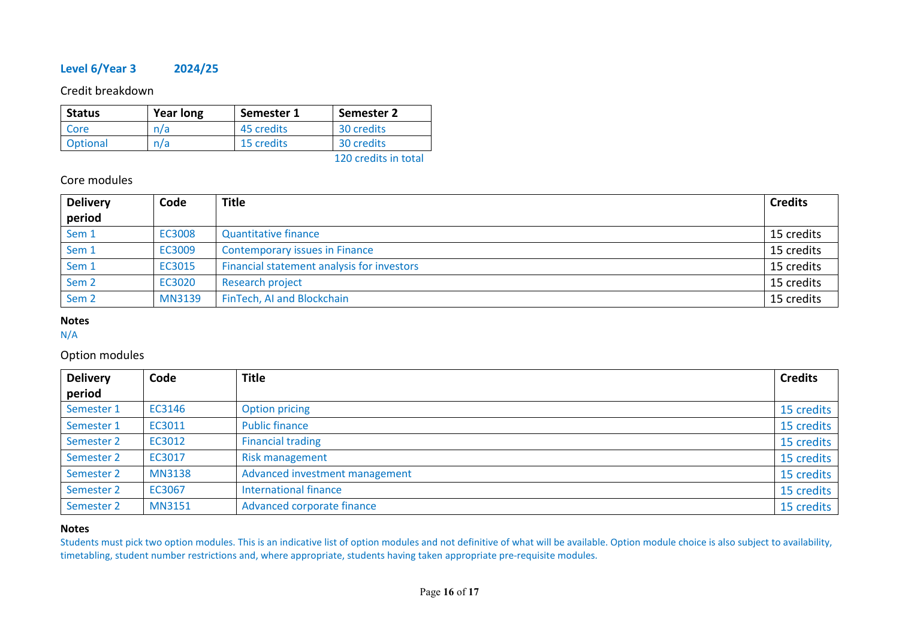## **Level 6/Year 3 2024/25**

Credit breakdown

| <b>Status</b> | <b>Year long</b> | Semester 1 | Semester 2           |
|---------------|------------------|------------|----------------------|
| Core          | n/a              | 45 credits | 30 credits           |
| Optional      | n/a              | 15 credits | 30 credits           |
|               |                  |            | 120 credits in total |

## Core modules

| <b>Delivery</b>  | Code          | <b>Title</b>                               | <b>Credits</b> |
|------------------|---------------|--------------------------------------------|----------------|
| period           |               |                                            |                |
| Sem <sub>1</sub> | EC3008        | <b>Quantitative finance</b>                | 15 credits     |
| Sem 1            | EC3009        | <b>Contemporary issues in Finance</b>      | 15 credits     |
| Sem 1            | EC3015        | Financial statement analysis for investors | 15 credits     |
| Sem <sub>2</sub> | EC3020        | <b>Research project</b>                    | 15 credits     |
| Sem <sub>2</sub> | <b>MN3139</b> | FinTech, AI and Blockchain                 | 15 credits     |

## **Notes**

N/A

## Option modules

| <b>Delivery</b> | Code          | <b>Title</b>                   | <b>Credits</b> |
|-----------------|---------------|--------------------------------|----------------|
| period          |               |                                |                |
| Semester 1      | EC3146        | <b>Option pricing</b>          | 15 credits     |
| Semester 1      | EC3011        | <b>Public finance</b>          | 15 credits     |
| Semester 2      | EC3012        | <b>Financial trading</b>       | 15 credits     |
| Semester 2      | EC3017        | <b>Risk management</b>         | 15 credits     |
| Semester 2      | <b>MN3138</b> | Advanced investment management | 15 credits     |
| Semester 2      | EC3067        | <b>International finance</b>   | 15 credits     |
| Semester 2      | <b>MN3151</b> | Advanced corporate finance     | 15 credits     |

## **Notes**

Students must pick two option modules. This is an indicative list of option modules and not definitive of what will be available. Option module choice is also subject to availability, timetabling, student number restrictions and, where appropriate, students having taken appropriate pre-requisite modules.